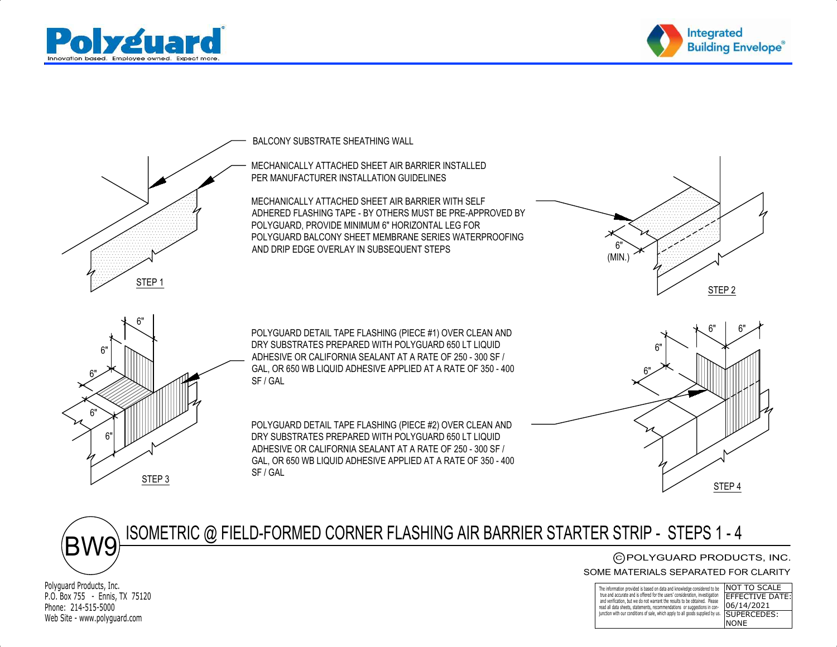



STEP 1 $S$ TEP 2 6"6"POLYGUARD DETAIL TAPE FLASHING (PIECE #2) OVER CLEAN AND6" $\begin{matrix} 1 & 6 \ \end{matrix}$ 6"6"BALCONY SUBSTRATE SHEATHING WALL PER MANUFACTURER INSTALLATION GUIDELINESMECHANICALLY ATTACHED SHEET AIR BARRIER INSTALLED ADHERED FLASHING TAPE - BY OTHERS MUST BE PRE-APPROVED BYMECHANICALLY ATTACHED SHEET AIR BARRIER WITH SELF POLYGUARD BALCONY SHEET MEMBRANE SERIES WATERPROOFINGPOLYGUARD, PROVIDE MINIMUM 6" HORIZONTAL LEG FORAND DRIP EDGE OVERLAY IN SUBSEQUENT STEPSPOLYGUARD DETAIL TAPE FLASHING (PIECE #1) OVER CLEAN ANDDRY SUBSTRATES PREPARED WITH POLYGUARD 650 LT LIQUIDADHESIVE OR CALIFORNIA SEALANT AT A RATE OF 250 - 300 SF /GAL, OR 650 WB LIQUID ADHESIVE APPLIED AT A RATE OF 350 - 400SF / GAL6"6"6"6"(MIN.)

DRY SUBSTRATES PREPARED WITH POLYGUARD 650 LT LIQUIDADHESIVE OR CALIFORNIA SEALANT AT A RATE OF 250 - 300 SF /GAL, OR 650 WB LIQUID ADHESIVE APPLIED AT A RATE OF 350 - 400SF / GAL





Polyguard Products, Inc.P.O. Box 755 - Ennis, TX 75120Phone: 214-515-5000Web Site - www.polyguard.com

STEP 3

## C)POLYGUARD PRODUCTS, INC.<br>MATERIALS SEPARATED FOR CLARITY<br>———————————————————— SOME MATERIALS SEPARATED FOR CLARITY